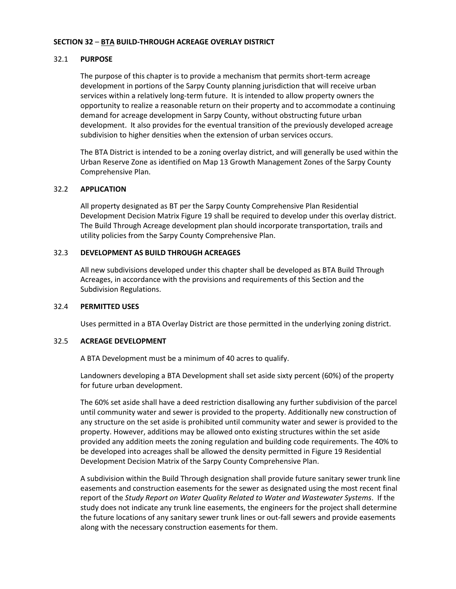# **SECTION 32** – **BTA BUILD-THROUGH ACREAGE OVERLAY DISTRICT**

## 32.1 **PURPOSE**

The purpose of this chapter is to provide a mechanism that permits short-term acreage development in portions of the Sarpy County planning jurisdiction that will receive urban services within a relatively long-term future. It is intended to allow property owners the opportunity to realize a reasonable return on their property and to accommodate a continuing demand for acreage development in Sarpy County, without obstructing future urban development. It also provides for the eventual transition of the previously developed acreage subdivision to higher densities when the extension of urban services occurs.

The BTA District is intended to be a zoning overlay district, and will generally be used within the Urban Reserve Zone as identified on Map 13 Growth Management Zones of the Sarpy County Comprehensive Plan.

#### 32.2 **APPLICATION**

All property designated as BT per the Sarpy County Comprehensive Plan Residential Development Decision Matrix Figure 19 shall be required to develop under this overlay district. The Build Through Acreage development plan should incorporate transportation, trails and utility policies from the Sarpy County Comprehensive Plan.

# 32.3 **DEVELOPMENT AS BUILD THROUGH ACREAGES**

All new subdivisions developed under this chapter shall be developed as BTA Build Through Acreages, in accordance with the provisions and requirements of this Section and the Subdivision Regulations.

# 32.4 **PERMITTED USES**

Uses permitted in a BTA Overlay District are those permitted in the underlying zoning district.

# 32.5 **ACREAGE DEVELOPMENT**

A BTA Development must be a minimum of 40 acres to qualify.

Landowners developing a BTA Development shall set aside sixty percent (60%) of the property for future urban development.

The 60% set aside shall have a deed restriction disallowing any further subdivision of the parcel until community water and sewer is provided to the property. Additionally new construction of any structure on the set aside is prohibited until community water and sewer is provided to the property. However, additions may be allowed onto existing structures within the set aside provided any addition meets the zoning regulation and building code requirements. The 40% to be developed into acreages shall be allowed the density permitted in Figure 19 Residential Development Decision Matrix of the Sarpy County Comprehensive Plan.

A subdivision within the Build Through designation shall provide future sanitary sewer trunk line easements and construction easements for the sewer as designated using the most recent final report of the *Study Report on Water Quality Related to Water and Wastewater Systems*. If the study does not indicate any trunk line easements, the engineers for the project shall determine the future locations of any sanitary sewer trunk lines or out-fall sewers and provide easements along with the necessary construction easements for them.